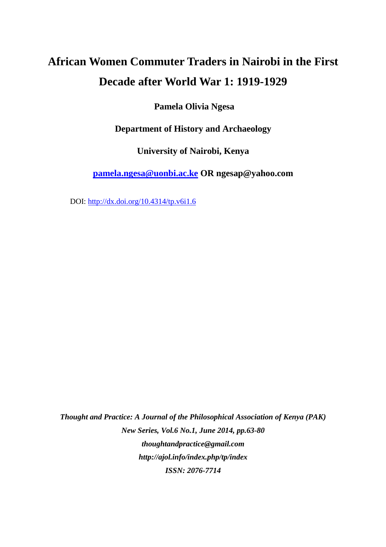# **African Women Commuter Traders in Nairobi in the First Decade after World War 1: 1919-1929**

 **Pamela Olivia Ngesa** 

**Department of History and Archaeology** 

**University of Nairobi, Kenya** 

**pamela.ngesa@uonbi.ac.ke OR ngesap@yahoo.com** 

DOI: http://dx.doi.org/10.4314/tp.v6i1.6

*Thought and Practice: A Journal of the Philosophical Association of Kenya (PAK) New Series, Vol.6 No.1, June 2014, pp.63-80 thoughtandpractice@gmail.com http://ajol.info/index.php/tp/index ISSN: 2076-7714*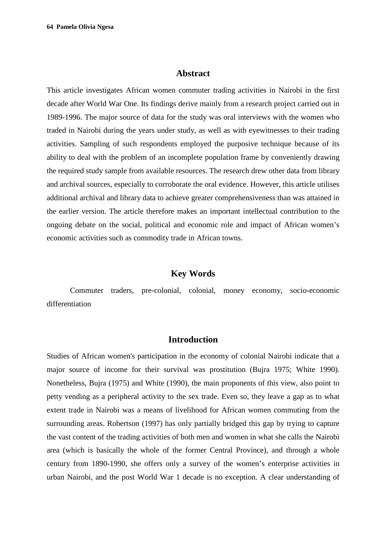#### **Abstract**

This article investigates African women commuter trading activities in Nairobi in the first decade after World War One. Its findings derive mainly from a research project carried out in 1989-1996. The major source of data for the study was oral interviews with the women who traded in Nairobi during the years under study, as well as with eyewitnesses to their trading activities. Sampling of such respondents employed the purposive technique because of its ability to deal with the problem of an incomplete population frame by conveniently drawing the required study sample from available resources. The research drew other data from library and archival sources, especially to corroborate the oral evidence. However, this article utilises additional archival and library data to achieve greater comprehensiveness than was attained in the earlier version. The article therefore makes an important intellectual contribution to the ongoing debate on the social, political and economic role and impact of African women's economic activities such as commodity trade in African towns.

#### **Key Words**

Commuter traders, pre-colonial, colonial, money economy, socio-economic differentiation

#### **Introduction**

Studies of African women's participation in the economy of colonial Nairobi indicate that a major source of income for their survival was prostitution (Bujra 1975; White 1990). Nonetheless, Bujra (1975) and White (1990), the main proponents of this view, also point to petty vending as a peripheral activity to the sex trade. Even so, they leave a gap as to what extent trade in Nairobi was a means of livelihood for African women commuting from the surrounding areas. Robertson (1997) has only partially bridged this gap by trying to capture the vast content of the trading activities of both men and women in what she calls the Nairobi area (which is basically the whole of the former Central Province), and through a whole century from 1890-1990, she offers only a survey of the women's enterprise activities in urban Nairobi, and the post World War 1 decade is no exception. A clear understanding of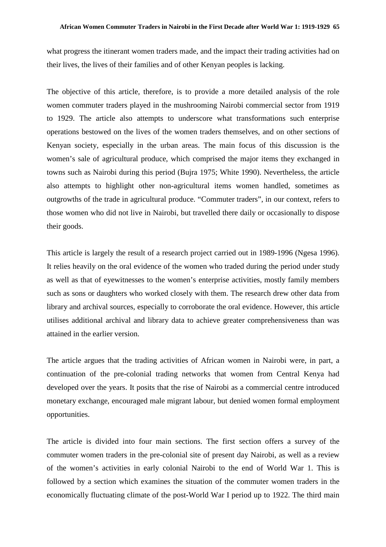what progress the itinerant women traders made, and the impact their trading activities had on their lives, the lives of their families and of other Kenyan peoples is lacking.

The objective of this article, therefore, is to provide a more detailed analysis of the role women commuter traders played in the mushrooming Nairobi commercial sector from 1919 to 1929. The article also attempts to underscore what transformations such enterprise operations bestowed on the lives of the women traders themselves, and on other sections of Kenyan society, especially in the urban areas. The main focus of this discussion is the women's sale of agricultural produce, which comprised the major items they exchanged in towns such as Nairobi during this period (Bujra 1975; White 1990). Nevertheless, the article also attempts to highlight other non-agricultural items women handled, sometimes as outgrowths of the trade in agricultural produce. "Commuter traders", in our context, refers to those women who did not live in Nairobi, but travelled there daily or occasionally to dispose their goods.

This article is largely the result of a research project carried out in 1989-1996 (Ngesa 1996). It relies heavily on the oral evidence of the women who traded during the period under study as well as that of eyewitnesses to the women's enterprise activities, mostly family members such as sons or daughters who worked closely with them. The research drew other data from library and archival sources, especially to corroborate the oral evidence. However, this article utilises additional archival and library data to achieve greater comprehensiveness than was attained in the earlier version.

The article argues that the trading activities of African women in Nairobi were, in part, a continuation of the pre-colonial trading networks that women from Central Kenya had developed over the years. It posits that the rise of Nairobi as a commercial centre introduced monetary exchange, encouraged male migrant labour, but denied women formal employment opportunities.

The article is divided into four main sections. The first section offers a survey of the commuter women traders in the pre-colonial site of present day Nairobi, as well as a review of the women's activities in early colonial Nairobi to the end of World War 1. This is followed by a section which examines the situation of the commuter women traders in the economically fluctuating climate of the post-World War I period up to 1922. The third main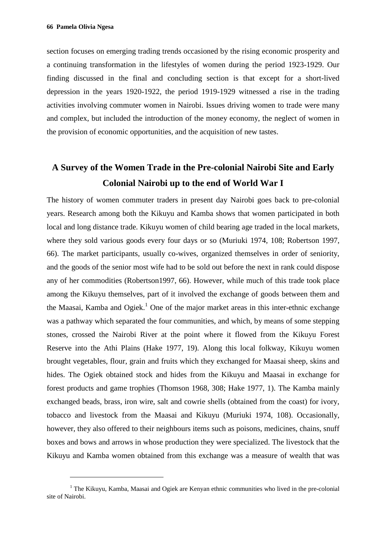$\overline{a}$ 

section focuses on emerging trading trends occasioned by the rising economic prosperity and a continuing transformation in the lifestyles of women during the period 1923-1929. Our finding discussed in the final and concluding section is that except for a short-lived depression in the years 1920-1922, the period 1919-1929 witnessed a rise in the trading activities involving commuter women in Nairobi. Issues driving women to trade were many and complex, but included the introduction of the money economy, the neglect of women in the provision of economic opportunities, and the acquisition of new tastes.

### **A Survey of the Women Trade in the Pre-colonial Nairobi Site and Early Colonial Nairobi up to the end of World War I**

The history of women commuter traders in present day Nairobi goes back to pre-colonial years. Research among both the Kikuyu and Kamba shows that women participated in both local and long distance trade. Kikuyu women of child bearing age traded in the local markets, where they sold various goods every four days or so (Muriuki 1974, 108; Robertson 1997, 66). The market participants, usually co-wives, organized themselves in order of seniority, and the goods of the senior most wife had to be sold out before the next in rank could dispose any of her commodities (Robertson1997, 66). However, while much of this trade took place among the Kikuyu themselves, part of it involved the exchange of goods between them and the Maasai, Kamba and Ogiek.<sup>1</sup> One of the major market areas in this inter-ethnic exchange was a pathway which separated the four communities, and which, by means of some stepping stones, crossed the Nairobi River at the point where it flowed from the Kikuyu Forest Reserve into the Athi Plains (Hake 1977, 19). Along this local folkway, Kikuyu women brought vegetables, flour, grain and fruits which they exchanged for Maasai sheep, skins and hides. The Ogiek obtained stock and hides from the Kikuyu and Maasai in exchange for forest products and game trophies (Thomson 1968, 308; Hake 1977, 1). The Kamba mainly exchanged beads, brass, iron wire, salt and cowrie shells (obtained from the coast) for ivory, tobacco and livestock from the Maasai and Kikuyu (Muriuki 1974, 108). Occasionally, however, they also offered to their neighbours items such as poisons, medicines, chains, snuff boxes and bows and arrows in whose production they were specialized. The livestock that the Kikuyu and Kamba women obtained from this exchange was a measure of wealth that was

<sup>&</sup>lt;sup>1</sup> The Kikuyu, Kamba, Maasai and Ogiek are Kenyan ethnic communities who lived in the pre-colonial site of Nairobi.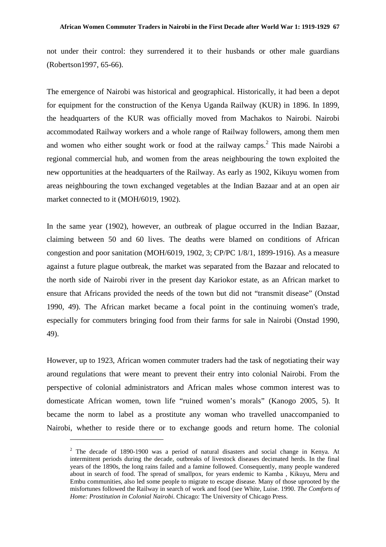not under their control: they surrendered it to their husbands or other male guardians (Robertson1997, 65-66).

The emergence of Nairobi was historical and geographical. Historically, it had been a depot for equipment for the construction of the Kenya Uganda Railway (KUR) in 1896. In 1899, the headquarters of the KUR was officially moved from Machakos to Nairobi. Nairobi accommodated Railway workers and a whole range of Railway followers, among them men and women who either sought work or food at the railway camps. $^2$  This made Nairobi a regional commercial hub, and women from the areas neighbouring the town exploited the new opportunities at the headquarters of the Railway. As early as 1902, Kikuyu women from areas neighbouring the town exchanged vegetables at the Indian Bazaar and at an open air market connected to it (MOH/6019, 1902).

In the same year (1902), however, an outbreak of plague occurred in the Indian Bazaar, claiming between 50 and 60 lives. The deaths were blamed on conditions of African congestion and poor sanitation (MOH/6019, 1902, 3; CP/PC 1/8/1, 1899-1916). As a measure against a future plague outbreak, the market was separated from the Bazaar and relocated to the north side of Nairobi river in the present day Kariokor estate, as an African market to ensure that Africans provided the needs of the town but did not "transmit disease" (Onstad 1990, 49). The African market became a focal point in the continuing women's trade, especially for commuters bringing food from their farms for sale in Nairobi (Onstad 1990, 49).

However, up to 1923, African women commuter traders had the task of negotiating their way around regulations that were meant to prevent their entry into colonial Nairobi. From the perspective of colonial administrators and African males whose common interest was to domesticate African women, town life "ruined women's morals" (Kanogo 2005, 5). It became the norm to label as a prostitute any woman who travelled unaccompanied to Nairobi, whether to reside there or to exchange goods and return home. The colonial

 $\overline{a}$ 

 $2$  The decade of 1890-1900 was a period of natural disasters and social change in Kenya. At intermittent periods during the decade, outbreaks of livestock diseases decimated herds. In the final years of the 1890s, the long rains failed and a famine followed. Consequently, many people wandered about in search of food. The spread of smallpox, for years endemic to Kamba , Kikuyu, Meru and Embu communities, also led some people to migrate to escape disease. Many of those uprooted by the misfortunes followed the Railway in search of work and food (see White, Luise. 1990. *The Comforts of Home: Prostitution in Colonial Nairobi*. Chicago: The University of Chicago Press.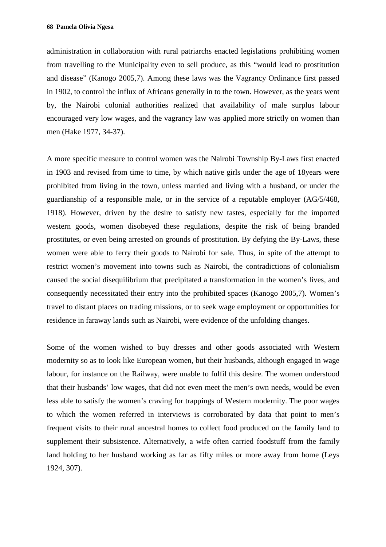administration in collaboration with rural patriarchs enacted legislations prohibiting women from travelling to the Municipality even to sell produce, as this "would lead to prostitution and disease" (Kanogo 2005,7). Among these laws was the Vagrancy Ordinance first passed in 1902, to control the influx of Africans generally in to the town. However, as the years went by, the Nairobi colonial authorities realized that availability of male surplus labour encouraged very low wages, and the vagrancy law was applied more strictly on women than men (Hake 1977, 34-37).

A more specific measure to control women was the Nairobi Township By-Laws first enacted in 1903 and revised from time to time, by which native girls under the age of 18years were prohibited from living in the town, unless married and living with a husband, or under the guardianship of a responsible male, or in the service of a reputable employer (AG/5/468, 1918). However, driven by the desire to satisfy new tastes, especially for the imported western goods, women disobeyed these regulations, despite the risk of being branded prostitutes, or even being arrested on grounds of prostitution. By defying the By-Laws, these women were able to ferry their goods to Nairobi for sale. Thus, in spite of the attempt to restrict women's movement into towns such as Nairobi, the contradictions of colonialism caused the social disequilibrium that precipitated a transformation in the women's lives, and consequently necessitated their entry into the prohibited spaces (Kanogo 2005,7). Women's travel to distant places on trading missions, or to seek wage employment or opportunities for residence in faraway lands such as Nairobi, were evidence of the unfolding changes.

Some of the women wished to buy dresses and other goods associated with Western modernity so as to look like European women, but their husbands, although engaged in wage labour, for instance on the Railway, were unable to fulfil this desire. The women understood that their husbands' low wages, that did not even meet the men's own needs, would be even less able to satisfy the women's craving for trappings of Western modernity. The poor wages to which the women referred in interviews is corroborated by data that point to men's frequent visits to their rural ancestral homes to collect food produced on the family land to supplement their subsistence. Alternatively, a wife often carried foodstuff from the family land holding to her husband working as far as fifty miles or more away from home (Leys 1924, 307).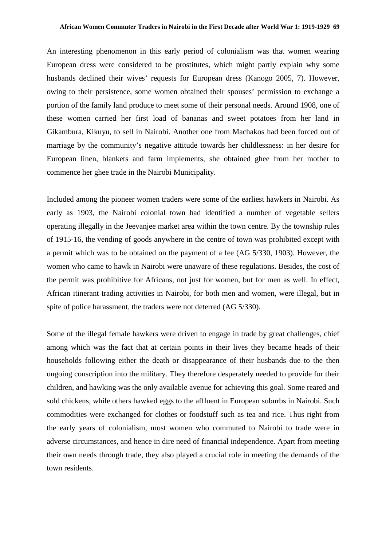#### **African Women Commuter Traders in Nairobi in the First Decade after World War 1: 1919-1929 69**

An interesting phenomenon in this early period of colonialism was that women wearing European dress were considered to be prostitutes, which might partly explain why some husbands declined their wives' requests for European dress (Kanogo 2005, 7). However, owing to their persistence, some women obtained their spouses' permission to exchange a portion of the family land produce to meet some of their personal needs. Around 1908, one of these women carried her first load of bananas and sweet potatoes from her land in Gikambura, Kikuyu, to sell in Nairobi. Another one from Machakos had been forced out of marriage by the community's negative attitude towards her childlessness: in her desire for European linen, blankets and farm implements, she obtained ghee from her mother to commence her ghee trade in the Nairobi Municipality.

Included among the pioneer women traders were some of the earliest hawkers in Nairobi. As early as 1903, the Nairobi colonial town had identified a number of vegetable sellers operating illegally in the Jeevanjee market area within the town centre. By the township rules of 1915-16, the vending of goods anywhere in the centre of town was prohibited except with a permit which was to be obtained on the payment of a fee (AG 5/330, 1903). However, the women who came to hawk in Nairobi were unaware of these regulations. Besides, the cost of the permit was prohibitive for Africans, not just for women, but for men as well. In effect, African itinerant trading activities in Nairobi, for both men and women, were illegal, but in spite of police harassment, the traders were not deterred (AG 5/330).

Some of the illegal female hawkers were driven to engage in trade by great challenges, chief among which was the fact that at certain points in their lives they became heads of their households following either the death or disappearance of their husbands due to the then ongoing conscription into the military. They therefore desperately needed to provide for their children, and hawking was the only available avenue for achieving this goal. Some reared and sold chickens, while others hawked eggs to the affluent in European suburbs in Nairobi. Such commodities were exchanged for clothes or foodstuff such as tea and rice. Thus right from the early years of colonialism, most women who commuted to Nairobi to trade were in adverse circumstances, and hence in dire need of financial independence. Apart from meeting their own needs through trade, they also played a crucial role in meeting the demands of the town residents.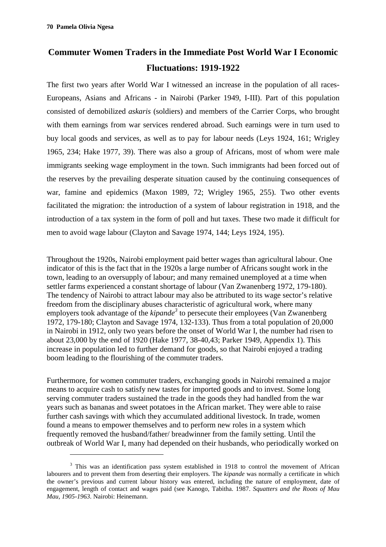$\overline{a}$ 

## **Commuter Women Traders in the Immediate Post World War I Economic Fluctuations: 1919-1922**

The first two years after World War I witnessed an increase in the population of all races-Europeans, Asians and Africans - in Nairobi (Parker 1949, I-III). Part of this population consisted of demobilized *askaris* (soldiers) and members of the Carrier Corps, who brought with them earnings from war services rendered abroad. Such earnings were in turn used to buy local goods and services, as well as to pay for labour needs (Leys 1924, 161; Wrigley 1965, 234; Hake 1977, 39). There was also a group of Africans, most of whom were male immigrants seeking wage employment in the town. Such immigrants had been forced out of the reserves by the prevailing desperate situation caused by the continuing consequences of war, famine and epidemics (Maxon 1989, 72; Wrigley 1965, 255). Two other events facilitated the migration: the introduction of a system of labour registration in 1918, and the introduction of a tax system in the form of poll and hut taxes. These two made it difficult for men to avoid wage labour (Clayton and Savage 1974, 144; Leys 1924, 195).

Throughout the 1920s, Nairobi employment paid better wages than agricultural labour. One indicator of this is the fact that in the 1920s a large number of Africans sought work in the town, leading to an oversupply of labour; and many remained unemployed at a time when settler farms experienced a constant shortage of labour (Van Zwanenberg 1972, 179-180). The tendency of Nairobi to attract labour may also be attributed to its wage sector's relative freedom from the disciplinary abuses characteristic of agricultural work, where many employers took advantage of the *kipande<sup>3</sup>* to persecute their employees (Van Zwanenberg 1972, 179-180; Clayton and Savage 1974, 132-133). Thus from a total population of 20,000 in Nairobi in 1912, only two years before the onset of World War I, the number had risen to about 23,000 by the end of 1920 (Hake 1977, 38-40,43; Parker 1949, Appendix 1). This increase in population led to further demand for goods, so that Nairobi enjoyed a trading boom leading to the flourishing of the commuter traders.

Furthermore, for women commuter traders, exchanging goods in Nairobi remained a major means to acquire cash to satisfy new tastes for imported goods and to invest. Some long serving commuter traders sustained the trade in the goods they had handled from the war years such as bananas and sweet potatoes in the African market. They were able to raise further cash savings with which they accumulated additional livestock. In trade, women found a means to empower themselves and to perform new roles in a system which frequently removed the husband/father/ breadwinner from the family setting. Until the outbreak of World War I, many had depended on their husbands, who periodically worked on

<sup>&</sup>lt;sup>3</sup> This was an identification pass system established in 1918 to control the movement of African labourers and to prevent them from deserting their employers. The *kipande* was normally a certificate in which the owner's previous and current labour history was entered, including the nature of employment, date of engagement, length of contact and wages paid (see Kanogo, Tabitha. 1987. *Squatters and the Roots of Mau Mau, 1905-1963*. Nairobi: Heinemann.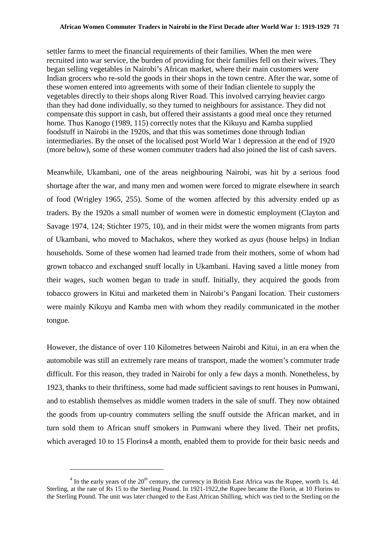settler farms to meet the financial requirements of their families. When the men were recruited into war service, the burden of providing for their families fell on their wives. They began selling vegetables in Nairobi's African market, where their main customers were Indian grocers who re-sold the goods in their shops in the town centre. After the war, some of these women entered into agreements with some of their Indian clientele to supply the vegetables directly to their shops along River Road. This involved carrying heavier cargo than they had done individually, so they turned to neighbours for assistance. They did not compensate this support in cash, but offered their assistants a good meal once they returned home. Thus Kanogo (1989, 115) correctly notes that the Kikuyu and Kamba supplied foodstuff in Nairobi in the 1920s, and that this was sometimes done through Indian intermediaries. By the onset of the localised post World War 1 depression at the end of 1920 (more below), some of these women commuter traders had also joined the list of cash savers.

Meanwhile, Ukambani, one of the areas neighbouring Nairobi, was hit by a serious food shortage after the war, and many men and women were forced to migrate elsewhere in search of food (Wrigley 1965, 255). Some of the women affected by this adversity ended up as traders. By the 1920s a small number of women were in domestic employment (Clayton and Savage 1974, 124; Stichter 1975, 10), and in their midst were the women migrants from parts of Ukambani, who moved to Machakos, where they worked as *ayas* (house helps) in Indian households. Some of these women had learned trade from their mothers, some of whom had grown tobacco and exchanged snuff locally in Ukambani. Having saved a little money from their wages, such women began to trade in snuff. Initially, they acquired the goods from tobacco growers in Kitui and marketed them in Nairobi's Pangani location. Their customers were mainly Kikuyu and Kamba men with whom they readily communicated in the mother tongue.

However, the distance of over 110 Kilometres between Nairobi and Kitui, in an era when the automobile was still an extremely rare means of transport, made the women's commuter trade difficult. For this reason, they traded in Nairobi for only a few days a month. Nonetheless, by 1923, thanks to their thriftiness, some had made sufficient savings to rent houses in Pumwani, and to establish themselves as middle women traders in the sale of snuff. They now obtained the goods from up-country commuters selling the snuff outside the African market, and in turn sold them to African snuff smokers in Pumwani where they lived. Their net profits, which averaged 10 to 15 Florins4 a month, enabled them to provide for their basic needs and

 $\overline{a}$ 

 $4$  In the early years of the 20<sup>th</sup> century, the currency in British East Africa was the Rupee, worth 1s. 4d. Sterling, at the rate of Rs 15 to the Sterling Pound. In 1921-1922,the Rupee became the Florin, at 10 Florins to the Sterling Pound. The unit was later changed to the East African Shilling, which was tied to the Sterling on the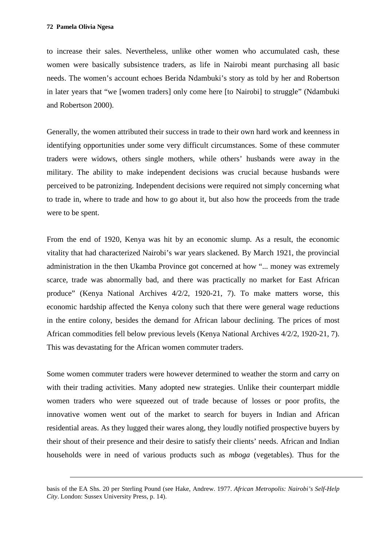$\overline{a}$ 

to increase their sales. Nevertheless, unlike other women who accumulated cash, these women were basically subsistence traders, as life in Nairobi meant purchasing all basic needs. The women's account echoes Berida Ndambuki's story as told by her and Robertson in later years that "we [women traders] only come here [to Nairobi] to struggle" (Ndambuki and Robertson 2000).

Generally, the women attributed their success in trade to their own hard work and keenness in identifying opportunities under some very difficult circumstances. Some of these commuter traders were widows, others single mothers, while others' husbands were away in the military. The ability to make independent decisions was crucial because husbands were perceived to be patronizing. Independent decisions were required not simply concerning what to trade in, where to trade and how to go about it, but also how the proceeds from the trade were to be spent.

From the end of 1920, Kenya was hit by an economic slump. As a result, the economic vitality that had characterized Nairobi's war years slackened. By March 1921, the provincial administration in the then Ukamba Province got concerned at how "... money was extremely scarce, trade was abnormally bad, and there was practically no market for East African produce" (Kenya National Archives 4/2/2, 1920-21, 7). To make matters worse, this economic hardship affected the Kenya colony such that there were general wage reductions in the entire colony, besides the demand for African labour declining. The prices of most African commodities fell below previous levels (Kenya National Archives 4/2/2, 1920-21, 7). This was devastating for the African women commuter traders.

Some women commuter traders were however determined to weather the storm and carry on with their trading activities. Many adopted new strategies. Unlike their counterpart middle women traders who were squeezed out of trade because of losses or poor profits, the innovative women went out of the market to search for buyers in Indian and African residential areas. As they lugged their wares along, they loudly notified prospective buyers by their shout of their presence and their desire to satisfy their clients' needs. African and Indian households were in need of various products such as *mboga* (vegetables). Thus for the

basis of the EA Shs. 20 per Sterling Pound (see Hake, Andrew. 1977. *African Metropolis: Nairobi's Self-Help City*. London: Sussex University Press, p. 14).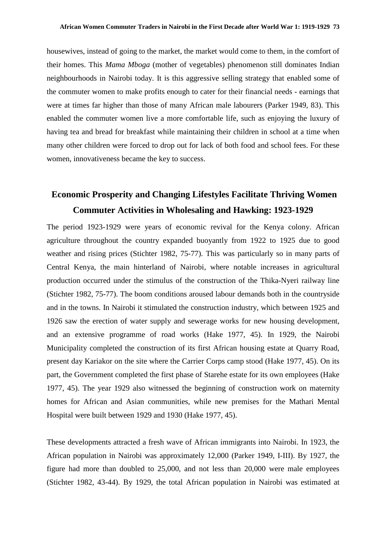housewives, instead of going to the market, the market would come to them, in the comfort of their homes. This *Mama Mboga* (mother of vegetables) phenomenon still dominates Indian neighbourhoods in Nairobi today. It is this aggressive selling strategy that enabled some of the commuter women to make profits enough to cater for their financial needs - earnings that were at times far higher than those of many African male labourers (Parker 1949, 83). This enabled the commuter women live a more comfortable life, such as enjoying the luxury of having tea and bread for breakfast while maintaining their children in school at a time when many other children were forced to drop out for lack of both food and school fees. For these women, innovativeness became the key to success.

### **Economic Prosperity and Changing Lifestyles Facilitate Thriving Women Commuter Activities in Wholesaling and Hawking: 1923-1929**

The period 1923-1929 were years of economic revival for the Kenya colony. African agriculture throughout the country expanded buoyantly from 1922 to 1925 due to good weather and rising prices (Stichter 1982, 75-77). This was particularly so in many parts of Central Kenya, the main hinterland of Nairobi, where notable increases in agricultural production occurred under the stimulus of the construction of the Thika-Nyeri railway line (Stichter 1982, 75-77). The boom conditions aroused labour demands both in the countryside and in the towns. In Nairobi it stimulated the construction industry, which between 1925 and 1926 saw the erection of water supply and sewerage works for new housing development, and an extensive programme of road works (Hake 1977, 45). In 1929, the Nairobi Municipality completed the construction of its first African housing estate at Quarry Road, present day Kariakor on the site where the Carrier Corps camp stood (Hake 1977, 45). On its part, the Government completed the first phase of Starehe estate for its own employees (Hake 1977, 45). The year 1929 also witnessed the beginning of construction work on maternity homes for African and Asian communities, while new premises for the Mathari Mental Hospital were built between 1929 and 1930 (Hake 1977, 45).

These developments attracted a fresh wave of African immigrants into Nairobi. In 1923, the African population in Nairobi was approximately 12,000 (Parker 1949, I-III). By 1927, the figure had more than doubled to 25,000, and not less than 20,000 were male employees (Stichter 1982, 43-44). By 1929, the total African population in Nairobi was estimated at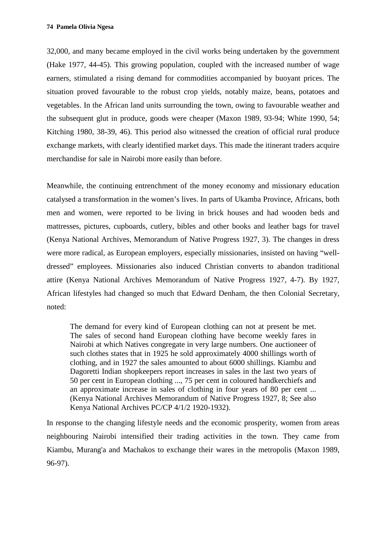32,000, and many became employed in the civil works being undertaken by the government (Hake 1977, 44-45). This growing population, coupled with the increased number of wage earners, stimulated a rising demand for commodities accompanied by buoyant prices. The situation proved favourable to the robust crop yields, notably maize, beans, potatoes and vegetables. In the African land units surrounding the town, owing to favourable weather and the subsequent glut in produce, goods were cheaper (Maxon 1989, 93-94; White 1990, 54; Kitching 1980, 38-39, 46). This period also witnessed the creation of official rural produce exchange markets, with clearly identified market days. This made the itinerant traders acquire merchandise for sale in Nairobi more easily than before.

Meanwhile, the continuing entrenchment of the money economy and missionary education catalysed a transformation in the women's lives. In parts of Ukamba Province, Africans, both men and women, were reported to be living in brick houses and had wooden beds and mattresses, pictures, cupboards, cutlery, bibles and other books and leather bags for travel (Kenya National Archives, Memorandum of Native Progress 1927, 3). The changes in dress were more radical, as European employers, especially missionaries, insisted on having "welldressed" employees. Missionaries also induced Christian converts to abandon traditional attire (Kenya National Archives Memorandum of Native Progress 1927, 4-7). By 1927, African lifestyles had changed so much that Edward Denham, the then Colonial Secretary, noted:

The demand for every kind of European clothing can not at present be met. The sales of second hand European clothing have become weekly fares in Nairobi at which Natives congregate in very large numbers. One auctioneer of such clothes states that in 1925 he sold approximately 4000 shillings worth of clothing, and in 1927 the sales amounted to about 6000 shillings. Kiambu and Dagoretti Indian shopkeepers report increases in sales in the last two years of 50 per cent in European clothing ..., 75 per cent in coloured handkerchiefs and an approximate increase in sales of clothing in four years of 80 per cent ... (Kenya National Archives Memorandum of Native Progress 1927, 8; See also Kenya National Archives PC/CP 4/1/2 1920-1932).

In response to the changing lifestyle needs and the economic prosperity, women from areas neighbouring Nairobi intensified their trading activities in the town. They came from Kiambu, Murang'a and Machakos to exchange their wares in the metropolis (Maxon 1989, 96-97).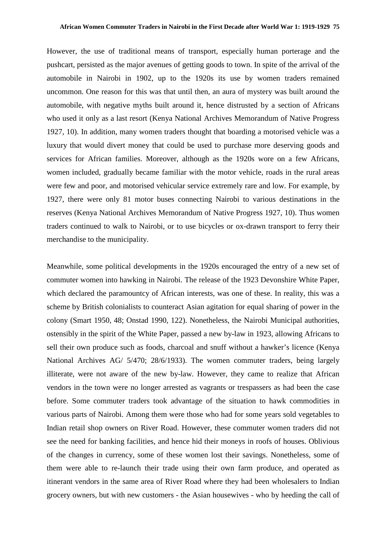However, the use of traditional means of transport, especially human porterage and the pushcart, persisted as the major avenues of getting goods to town. In spite of the arrival of the automobile in Nairobi in 1902, up to the 1920s its use by women traders remained uncommon. One reason for this was that until then, an aura of mystery was built around the automobile, with negative myths built around it, hence distrusted by a section of Africans who used it only as a last resort (Kenya National Archives Memorandum of Native Progress 1927, 10). In addition, many women traders thought that boarding a motorised vehicle was a luxury that would divert money that could be used to purchase more deserving goods and services for African families. Moreover, although as the 1920s wore on a few Africans, women included, gradually became familiar with the motor vehicle, roads in the rural areas were few and poor, and motorised vehicular service extremely rare and low. For example, by 1927, there were only 81 motor buses connecting Nairobi to various destinations in the reserves (Kenya National Archives Memorandum of Native Progress 1927, 10). Thus women traders continued to walk to Nairobi, or to use bicycles or ox-drawn transport to ferry their merchandise to the municipality.

Meanwhile, some political developments in the 1920s encouraged the entry of a new set of commuter women into hawking in Nairobi. The release of the 1923 Devonshire White Paper, which declared the paramountcy of African interests, was one of these. In reality, this was a scheme by British colonialists to counteract Asian agitation for equal sharing of power in the colony (Smart 1950, 48; Onstad 1990, 122). Nonetheless, the Nairobi Municipal authorities, ostensibly in the spirit of the White Paper, passed a new by-law in 1923, allowing Africans to sell their own produce such as foods, charcoal and snuff without a hawker's licence (Kenya National Archives AG/ 5/470; 28/6/1933). The women commuter traders, being largely illiterate, were not aware of the new by-law. However, they came to realize that African vendors in the town were no longer arrested as vagrants or trespassers as had been the case before. Some commuter traders took advantage of the situation to hawk commodities in various parts of Nairobi. Among them were those who had for some years sold vegetables to Indian retail shop owners on River Road. However, these commuter women traders did not see the need for banking facilities, and hence hid their moneys in roofs of houses. Oblivious of the changes in currency, some of these women lost their savings. Nonetheless, some of them were able to re-launch their trade using their own farm produce, and operated as itinerant vendors in the same area of River Road where they had been wholesalers to Indian grocery owners, but with new customers - the Asian housewives - who by heeding the call of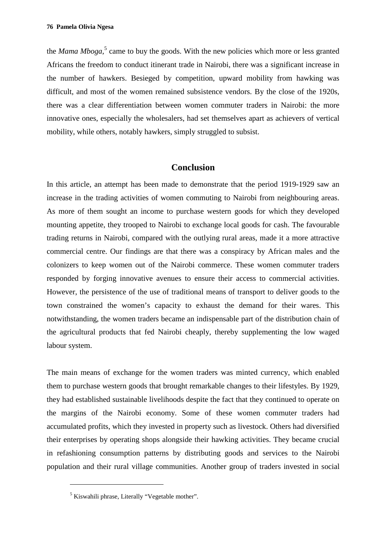the *Mama Mboga*,<sup>5</sup> came to buy the goods. With the new policies which more or less granted Africans the freedom to conduct itinerant trade in Nairobi, there was a significant increase in the number of hawkers. Besieged by competition, upward mobility from hawking was difficult, and most of the women remained subsistence vendors. By the close of the 1920s, there was a clear differentiation between women commuter traders in Nairobi: the more innovative ones, especially the wholesalers, had set themselves apart as achievers of vertical mobility, while others, notably hawkers, simply struggled to subsist.

#### **Conclusion**

In this article, an attempt has been made to demonstrate that the period 1919-1929 saw an increase in the trading activities of women commuting to Nairobi from neighbouring areas. As more of them sought an income to purchase western goods for which they developed mounting appetite, they trooped to Nairobi to exchange local goods for cash. The favourable trading returns in Nairobi, compared with the outlying rural areas, made it a more attractive commercial centre. Our findings are that there was a conspiracy by African males and the colonizers to keep women out of the Nairobi commerce. These women commuter traders responded by forging innovative avenues to ensure their access to commercial activities. However, the persistence of the use of traditional means of transport to deliver goods to the town constrained the women's capacity to exhaust the demand for their wares. This notwithstanding, the women traders became an indispensable part of the distribution chain of the agricultural products that fed Nairobi cheaply, thereby supplementing the low waged labour system.

The main means of exchange for the women traders was minted currency, which enabled them to purchase western goods that brought remarkable changes to their lifestyles. By 1929, they had established sustainable livelihoods despite the fact that they continued to operate on the margins of the Nairobi economy. Some of these women commuter traders had accumulated profits, which they invested in property such as livestock. Others had diversified their enterprises by operating shops alongside their hawking activities. They became crucial in refashioning consumption patterns by distributing goods and services to the Nairobi population and their rural village communities. Another group of traders invested in social

 $\overline{a}$ 

<sup>&</sup>lt;sup>5</sup> Kiswahili phrase, Literally "Vegetable mother".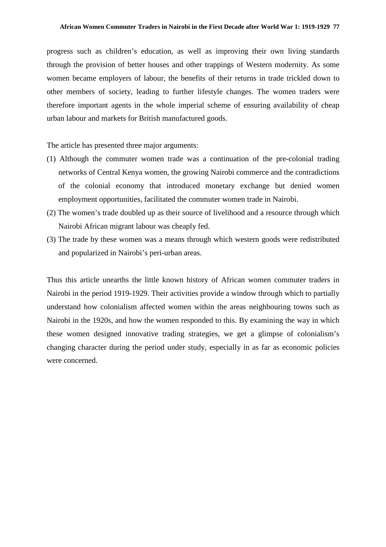progress such as children's education, as well as improving their own living standards through the provision of better houses and other trappings of Western modernity. As some women became employers of labour, the benefits of their returns in trade trickled down to other members of society, leading to further lifestyle changes. The women traders were therefore important agents in the whole imperial scheme of ensuring availability of cheap urban labour and markets for British manufactured goods.

The article has presented three major arguments:

- (1) Although the commuter women trade was a continuation of the pre-colonial trading networks of Central Kenya women, the growing Nairobi commerce and the contradictions of the colonial economy that introduced monetary exchange but denied women employment opportunities, facilitated the commuter women trade in Nairobi.
- (2) The women's trade doubled up as their source of livelihood and a resource through which Nairobi African migrant labour was cheaply fed.
- (3) The trade by these women was a means through which western goods were redistributed and popularized in Nairobi's peri-urban areas.

Thus this article unearths the little known history of African women commuter traders in Nairobi in the period 1919-1929. Their activities provide a window through which to partially understand how colonialism affected women within the areas neighbouring towns such as Nairobi in the 1920s, and how the women responded to this. By examining the way in which these women designed innovative trading strategies, we get a glimpse of colonialism's changing character during the period under study, especially in as far as economic policies were concerned.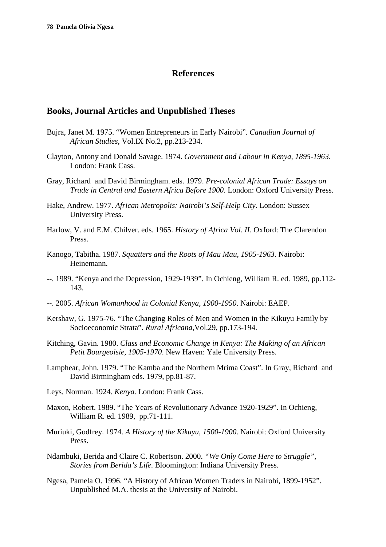#### **References**

#### **Books, Journal Articles and Unpublished Theses**

- Bujra, Janet M. 1975. "Women Entrepreneurs in Early Nairobi". *Canadian Journal of African Studies*, Vol.IX No.2, pp.213-234.
- Clayton, Antony and Donald Savage. 1974. *Government and Labour in Kenya, 1895-1963*. London: Frank Cass.
- Gray, Richard and David Birmingham. eds. 1979. *Pre-colonial African Trade: Essays on Trade in Central and Eastern Africa Before 1900*. London: Oxford University Press.
- Hake, Andrew. 1977. *African Metropolis: Nairobi's Self-Help City*. London: Sussex University Press.
- Harlow, V. and E.M. Chilver. eds. 1965. *History of Africa Vol. II*. Oxford: The Clarendon Press.
- Kanogo, Tabitha. 1987. *Squatters and the Roots of Mau Mau, 1905-1963*. Nairobi: Heinemann.
- --. 1989. "Kenya and the Depression, 1929-1939". In Ochieng, William R. ed. 1989, pp.112- 143.
- --. 2005. *African Womanhood in Colonial Kenya, 1900-1950*. Nairobi: EAEP.
- Kershaw, G. 1975-76. "The Changing Roles of Men and Women in the Kikuyu Family by Socioeconomic Strata". *Rural Africana*,Vol.29, pp.173-194.
- Kitching, Gavin. 1980. *Class and Economic Change in Kenya: The Making of an African Petit Bourgeoisie, 1905-1970*. New Haven: Yale University Press.
- Lamphear, John. 1979. "The Kamba and the Northern Mrima Coast". In Gray, Richard and David Birmingham eds. 1979, pp.81-87.
- Leys, Norman. 1924. *Kenya*. London: Frank Cass.
- Maxon, Robert. 1989. "The Years of Revolutionary Advance 1920-1929". In Ochieng, William R. ed. 1989, pp.71-111.
- Muriuki, Godfrey. 1974. *A History of the Kikuyu, 1500-1900*. Nairobi: Oxford University Press.
- Ndambuki, Berida and Claire C. Robertson. 2000. *"We Only Come Here to Struggle", Stories from Berida's Life*. Bloomington: Indiana University Press.
- Ngesa, Pamela O. 1996. "A History of African Women Traders in Nairobi, 1899-1952". Unpublished M.A. thesis at the University of Nairobi.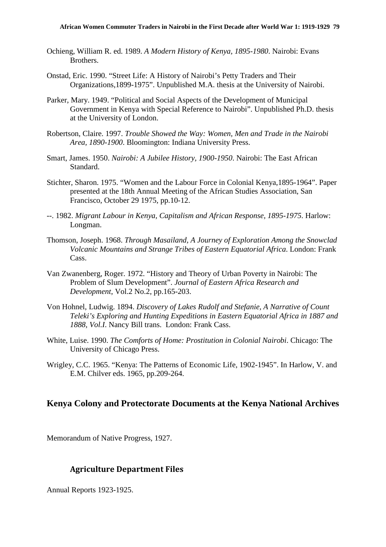- Ochieng, William R. ed. 1989. *A Modern History of Kenya, 1895-1980*. Nairobi: Evans Brothers.
- Onstad, Eric. 1990. "Street Life: A History of Nairobi's Petty Traders and Their Organizations,1899-1975". Unpublished M.A. thesis at the University of Nairobi.
- Parker, Mary. 1949. "Political and Social Aspects of the Development of Municipal Government in Kenya with Special Reference to Nairobi". Unpublished Ph.D. thesis at the University of London.
- Robertson, Claire. 1997. *Trouble Showed the Way: Women, Men and Trade in the Nairobi Area, 1890-1900*. Bloomington: Indiana University Press.
- Smart, James. 1950. *Nairobi: A Jubilee History, 1900-1950*. Nairobi: The East African Standard.
- Stichter, Sharon. 1975. "Women and the Labour Force in Colonial Kenya,1895-1964". Paper presented at the 18th Annual Meeting of the African Studies Association, San Francisco, October 29 1975, pp.10-12.
- --. 1982. *Migrant Labour in Kenya, Capitalism and African Response, 1895-1975*. Harlow: Longman.
- Thomson, Joseph. 1968. *Through Masailand, A Journey of Exploration Among the Snowclad Volcanic Mountains and Strange Tribes of Eastern Equatorial Africa*. London: Frank Cass.
- Van Zwanenberg, Roger. 1972. "History and Theory of Urban Poverty in Nairobi: The Problem of Slum Development". *Journal of Eastern Africa Research and Development*, Vol.2 No.2, pp.165-203.
- Von Hohnel, Ludwig. 1894. *Discovery of Lakes Rudolf and Stefanie, A Narrative of Count Teleki's Exploring and Hunting Expeditions in Eastern Equatorial Africa in 1887 and 1888, Vol.I*. Nancy Bill trans. London: Frank Cass.
- White, Luise. 1990. *The Comforts of Home: Prostitution in Colonial Nairobi*. Chicago: The University of Chicago Press.
- Wrigley, C.C. 1965. "Kenya: The Patterns of Economic Life, 1902-1945". In Harlow, V. and E.M. Chilver eds. 1965, pp.209-264.

#### **Kenya Colony and Protectorate Documents at the Kenya National Archives**

Memorandum of Native Progress, 1927.

#### **Agriculture Department Files**

Annual Reports 1923-1925.